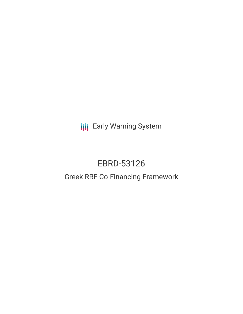**III** Early Warning System

# EBRD-53126

# Greek RRF Co-Financing Framework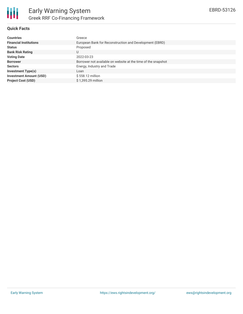

# **Quick Facts**

| <b>Countries</b>               | Greece                                                        |
|--------------------------------|---------------------------------------------------------------|
| <b>Financial Institutions</b>  | European Bank for Reconstruction and Development (EBRD)       |
| <b>Status</b>                  | Proposed                                                      |
| <b>Bank Risk Rating</b>        | U                                                             |
| <b>Voting Date</b>             | 2022-03-23                                                    |
| <b>Borrower</b>                | Borrower not available on website at the time of the snapshot |
| <b>Sectors</b>                 | Energy, Industry and Trade                                    |
| <b>Investment Type(s)</b>      | Loan                                                          |
| <b>Investment Amount (USD)</b> | $$558.12$ million                                             |
| <b>Project Cost (USD)</b>      | \$1.395.29 million                                            |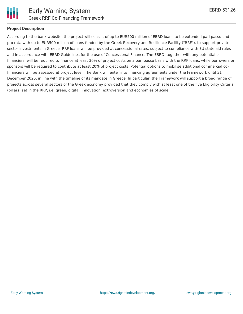

## **Project Description**

According to the bank website, the project will consist of up to EUR500 million of EBRD loans to be extended pari passu and pro rata with up to EUR500 million of loans funded by the Greek Recovery and Resilience Facility ("RRF"), to support private sector investments in Greece. RRF loans will be provided at concessional rates, subject to compliance with EU state aid rules and in accordance with EBRD Guidelines for the use of Concessional Finance. The EBRD, together with any potential cofinanciers, will be required to finance at least 30% of project costs on a pari passu basis with the RRF loans, while borrowers or sponsors will be required to contribute at least 20% of project costs. Potential options to mobilise additional commercial cofinanciers will be assessed at project level. The Bank will enter into financing agreements under the Framework until 31 December 2025, in line with the timeline of its mandate in Greece. In particular, the Framework will support a broad range of projects across several sectors of the Greek economy provided that they comply with at least one of the five Eligibility Criteria (pillars) set in the RRP, i.e. green, digital, innovation, extroversion and economies of scale.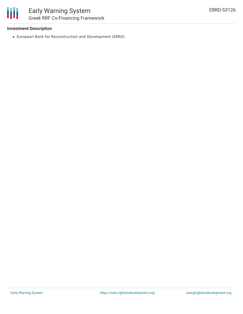#### **Investment Description**

European Bank for Reconstruction and Development (EBRD)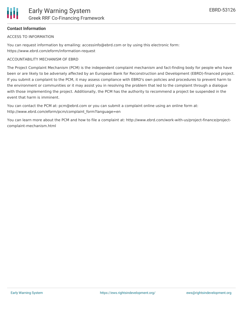# **Contact Information**

ACCESS TO INFORMATION

You can request information by emailing: accessinfo@ebrd.com or by using this electronic form: https://www.ebrd.com/eform/information-request

#### ACCOUNTABILITY MECHANISM OF EBRD

The Project Complaint Mechanism (PCM) is the independent complaint mechanism and fact-finding body for people who have been or are likely to be adversely affected by an European Bank for Reconstruction and Development (EBRD)-financed project. If you submit a complaint to the PCM, it may assess compliance with EBRD's own policies and procedures to prevent harm to the environment or communities or it may assist you in resolving the problem that led to the complaint through a dialogue with those implementing the project. Additionally, the PCM has the authority to recommend a project be suspended in the event that harm is imminent.

You can contact the PCM at: pcm@ebrd.com or you can submit a complaint online using an online form at: http://www.ebrd.com/eform/pcm/complaint\_form?language=en

You can learn more about the PCM and how to file a complaint at: http://www.ebrd.com/work-with-us/project-finance/projectcomplaint-mechanism.html